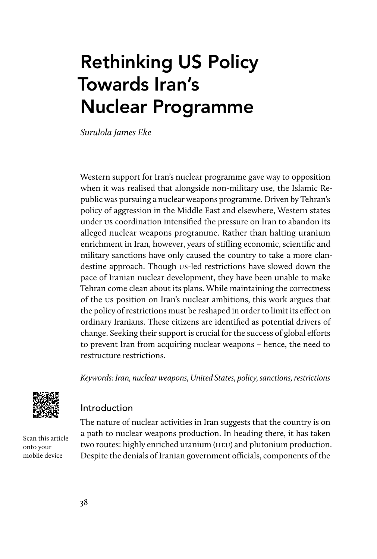# Rethinking US Policy Towards Iran's Nuclear Programme

Surulola James Eke

Western support for Iran's nuclear programme gave way to opposition when it was realised that alongside non-military use, the Islamic Republic was pursuing a nuclear weapons programme. Driven by Tehran's policy of aggression in the Middle East and elsewhere, Western states under us coordination intensified the pressure on Iran to abandon its alleged nuclear weapons programme. Rather than halting uranium enrichment in Iran, however, years of stifling economic, scientific and military sanctions have only caused the country to take a more clandestine approach. Though us-led restrictions have slowed down the pace of Iranian nuclear development, they have been unable to make Tehran come clean about its plans. While maintaining the correctness of the us position on Iran's nuclear ambitions, this work argues that the policy of restrictions must be reshaped in order to limit its effect on ordinary Iranians. These citizens are identified as potential drivers of change. Seeking their support is crucial for the success of global efforts to prevent Iran from acquiring nuclear weapons – hence, the need to restructure restrictions.

Keywords: Iran, nuclear weapons, United States, policy, sanctions, restrictions



Introduction

Scan this article onto your mobile device

The nature of nuclear activities in Iran suggests that the country is on a path to nuclear weapons production. In heading there, it has taken two routes: highly enriched uranium (heu) and plutonium production. Despite the denials of Iranian government officials, components of the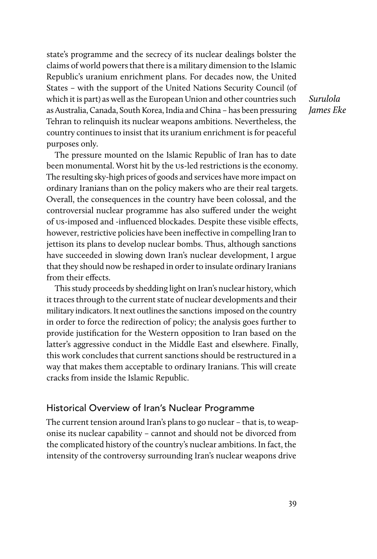state's programme and the secrecy of its nuclear dealings bolster the claims of world powers that there is a military dimension to the Islamic Republic's uranium enrichment plans. For decades now, the United States – with the support of the United Nations Security Council (of which it is part) as well as the European Union and other countries such as Australia, Canada, South Korea, India and China – has been pressuring Tehran to relinquish its nuclear weapons ambitions. Nevertheless, the country continues to insist that its uranium enrichment is for peaceful purposes only.

Surulola James Eke

The pressure mounted on the Islamic Republic of Iran has to date been monumental. Worst hit by the us-led restrictions is the economy. The resulting sky-high prices of goods and services have more impact on ordinary Iranians than on the policy makers who are their real targets. Overall, the consequences in the country have been colossal, and the controversial nuclear programme has also suffered under the weight of us-imposed and -influenced blockades. Despite these visible effects, however, restrictive policies have been ineffective in compelling Iran to jettison its plans to develop nuclear bombs. Thus, although sanctions have succeeded in slowing down Iran's nuclear development, I argue that they should now be reshaped in order to insulate ordinary Iranians from their effects.

This study proceeds by shedding light on Iran's nuclear history, which it traces through to the current state of nuclear developments and their military indicators. It next outlines the sanctions imposed on the country in order to force the redirection of policy; the analysis goes further to provide justification for the Western opposition to Iran based on the latter's aggressive conduct in the Middle East and elsewhere. Finally, this work concludes that current sanctions should be restructured in a way that makes them acceptable to ordinary Iranians. This will create cracks from inside the Islamic Republic.

### Historical Overview of Iran's Nuclear Programme

The current tension around Iran's plans to go nuclear – that is, to weaponise its nuclear capability – cannot and should not be divorced from the complicated history of the country's nuclear ambitions. In fact, the intensity of the controversy surrounding Iran's nuclear weapons drive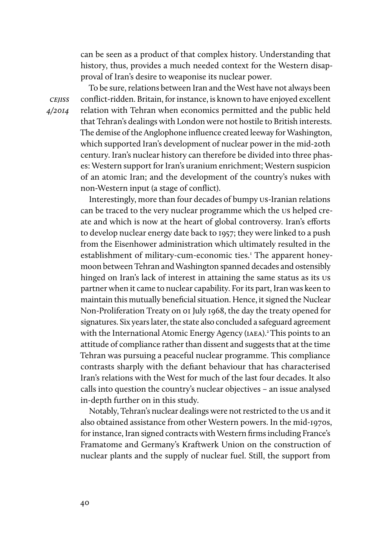can be seen as a product of that complex history. Understanding that history, thus, provides a much needed context for the Western disapproval of Iran's desire to weaponise its nuclear power.

cejiss 4/2014

To be sure, relations between Iran and the West have not always been conflict-ridden. Britain, for instance, is known to have enjoyed excellent relation with Tehran when economics permitted and the public held that Tehran's dealings with London were not hostile to British interests. The demise of the Anglophone influence created leeway for Washington, which supported Iran's development of nuclear power in the mid-20th century. Iran's nuclear history can therefore be divided into three phases: Western support for Iran's uranium enrichment; Western suspicion of an atomic Iran; and the development of the country's nukes with non-Western input (a stage of conflict).

Interestingly, more than four decades of bumpy us-Iranian relations can be traced to the very nuclear programme which the us helped create and which is now at the heart of global controversy. Iran's efforts to develop nuclear energy date back to 1957; they were linked to a push from the Eisenhower administration which ultimately resulted in the establishment of military-cum-economic ties.<sup>1</sup> The apparent honeymoon between Tehran and Washington spanned decades and ostensibly hinged on Iran's lack of interest in attaining the same status as its us partner when it came to nuclear capability. For its part, Iran was keen to maintain this mutually beneficial situation. Hence, it signed the Nuclear Non-Proliferation Treaty on 01 July 1968, the day the treaty opened for signatures. Six years later, the state also concluded a safeguard agreement with the International Atomic Energy Agency (IAEA).<sup>2</sup> This points to an attitude of compliance rather than dissent and suggests that at the time Tehran was pursuing a peaceful nuclear programme. This compliance contrasts sharply with the defiant behaviour that has characterised Iran's relations with the West for much of the last four decades. It also calls into question the country's nuclear objectives – an issue analysed in-depth further on in this study.

Notably, Tehran's nuclear dealings were not restricted to the us and it also obtained assistance from other Western powers. In the mid-1970s, for instance, Iran signed contracts with Western firms including France's Framatome and Germany's Kraftwerk Union on the construction of nuclear plants and the supply of nuclear fuel. Still, the support from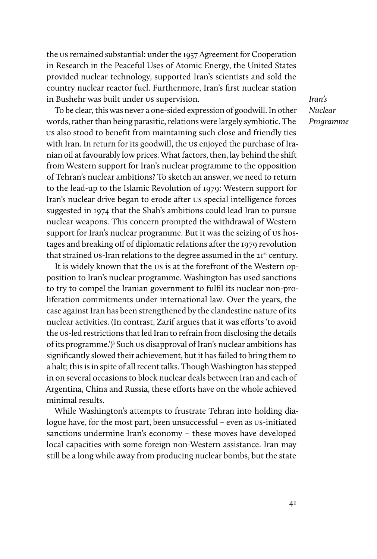the us remained substantial: under the 1957 Agreement for Cooperation in Research in the Peaceful Uses of Atomic Energy, the United States provided nuclear technology, supported Iran's scientists and sold the country nuclear reactor fuel. Furthermore, Iran's first nuclear station in Bushehr was built under us supervision.

To be clear, this was never a one-sided expression of goodwill. In other words, rather than being parasitic, relations were largely symbiotic. The us also stood to benefit from maintaining such close and friendly ties with Iran. In return for its goodwill, the us enjoyed the purchase of Iranian oil at favourably low prices. What factors, then, lay behind the shift from Western support for Iran's nuclear programme to the opposition of Tehran's nuclear ambitions? To sketch an answer, we need to return to the lead-up to the Islamic Revolution of 1979: Western support for Iran's nuclear drive began to erode after us special intelligence forces suggested in 1974 that the Shah's ambitions could lead Iran to pursue nuclear weapons. This concern prompted the withdrawal of Western support for Iran's nuclear programme. But it was the seizing of us hostages and breaking off of diplomatic relations after the 1979 revolution that strained us-Iran relations to the degree assumed in the 21<sup>st</sup> century.

It is widely known that the us is at the forefront of the Western opposition to Iran's nuclear programme. Washington has used sanctions to try to compel the Iranian government to fulfil its nuclear non-proliferation commitments under international law. Over the years, the case against Iran has been strengthened by the clandestine nature of its nuclear activities. (In contrast, Zarif argues that it was efforts 'to avoid the us-led restrictions that led Iran to refrain from disclosing the details of its programme.')<sup>3</sup> Such us disapproval of Iran's nuclear ambitions has significantly slowed their achievement, but it has failed to bring them to a halt; this is in spite of all recent talks. Though Washington has stepped in on several occasions to block nuclear deals between Iran and each of Argentina, China and Russia, these efforts have on the whole achieved minimal results.

While Washington's attempts to frustrate Tehran into holding dialogue have, for the most part, been unsuccessful – even as us-initiated sanctions undermine Iran's economy – these moves have developed local capacities with some foreign non-Western assistance. Iran may still be a long while away from producing nuclear bombs, but the state

Iran's Nuclear Programme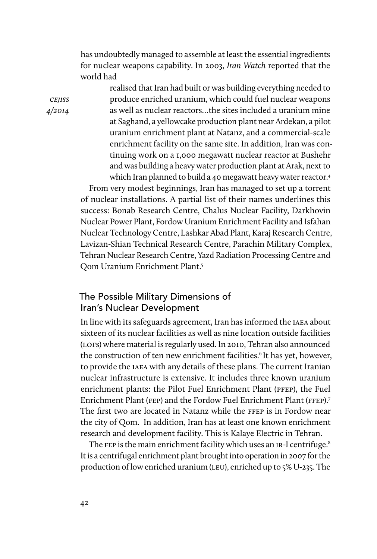has undoubtedly managed to assemble at least the essential ingredients for nuclear weapons capability. In 2003, Iran Watch reported that the world had

**CEJISS** 4/2014 realised that Iran had built or was building everything needed to produce enriched uranium, which could fuel nuclear weapons as well as nuclear reactors…the sites included a uranium mine at Saghand, a yellowcake production plant near Ardekan, a pilot uranium enrichment plant at Natanz, and a commercial-scale enrichment facility on the same site. In addition, Iran was continuing work on a 1,000 megawatt nuclear reactor at Bushehr and was building a heavy water production plant at Arak, next to which Iran planned to build a 40 megawatt heavy water reactor.<sup>4</sup>

From very modest beginnings, Iran has managed to set up a torrent of nuclear installations. A partial list of their names underlines this success: Bonab Research Centre, Chalus Nuclear Facility, Darkhovin Nuclear Power Plant, Fordow Uranium Enrichment Facility and Isfahan Nuclear Technology Centre, Lashkar Abad Plant, Karaj Research Centre, Lavizan-Shian Technical Research Centre, Parachin Military Complex, Tehran Nuclear Research Centre, Yazd Radiation Processing Centre and Qom Uranium Enrichment Plant.5

## The Possible Military Dimensions of Iran's Nuclear Development

In line with its safeguards agreement, Iran has informed the iaea about sixteen of its nuclear facilities as well as nine location outside facilities (lofs) where material is regularly used. In 2010, Tehran also announced the construction of ten new enrichment facilities.<sup>6</sup> It has yet, however, to provide the iaea with any details of these plans. The current Iranian nuclear infrastructure is extensive. It includes three known uranium enrichment plants: the Pilot Fuel Enrichment Plant (pfep), the Fuel Enrichment Plant (FEP) and the Fordow Fuel Enrichment Plant (FFEP).<sup>7</sup> The first two are located in Natanz while the ffep is in Fordow near the city of Qom. In addition, Iran has at least one known enrichment research and development facility. This is Kalaye Electric in Tehran.

The FEP is the main enrichment facility which uses an IR-I centrifuge.<sup>8</sup> It is a centrifugal enrichment plant brought into operation in 2007 for the production of low enriched uranium (leu), enriched up to 5% U-235. The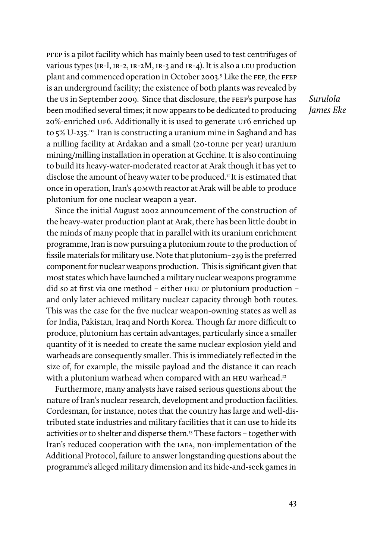pfep is a pilot facility which has mainly been used to test centrifuges of various types (ir-I, ir-2, ir-2M, ir-3 and ir-4). It is also a leu production plant and commenced operation in October 2003.<sup>9</sup> Like the FEP, the FFEP is an underground facility; the existence of both plants was revealed by the us in September 2009. Since that disclosure, the feep's purpose has been modified several times; it now appears to be dedicated to producing 20%-enriched uf6. Additionally it is used to generate uf6 enriched up to 5% U-235.10 Iran is constructing a uranium mine in Saghand and has a milling facility at Ardakan and a small (20-tonne per year) uranium mining/milling installation in operation at Gcchine. It is also continuing to build its heavy-water-moderated reactor at Arak though it has yet to disclose the amount of heavy water to be produced.<sup>11</sup> It is estimated that once in operation, Iran's 40mwth reactor at Arak will be able to produce plutonium for one nuclear weapon a year.

Since the initial August 2002 announcement of the construction of the heavy-water production plant at Arak, there has been little doubt in the minds of many people that in parallel with its uranium enrichment programme, Iran is now pursuing a plutonium route to the production of fissile materials for military use. Note that plutonium–239 is the preferred component for nuclear weapons production. This is significant given that most states which have launched a military nuclear weapons programme did so at first via one method – either heu or plutonium production – and only later achieved military nuclear capacity through both routes. This was the case for the five nuclear weapon-owning states as well as for India, Pakistan, Iraq and North Korea. Though far more difficult to produce, plutonium has certain advantages, particularly since a smaller quantity of it is needed to create the same nuclear explosion yield and warheads are consequently smaller. This is immediately reflected in the size of, for example, the missile payload and the distance it can reach with a plutonium warhead when compared with an HEU warhead.<sup>12</sup>

Furthermore, many analysts have raised serious questions about the nature of Iran's nuclear research, development and production facilities. Cordesman, for instance, notes that the country has large and well-distributed state industries and military facilities that it can use to hide its activities or to shelter and disperse them.13 These factors – together with Iran's reduced cooperation with the iaea, non-implementation of the Additional Protocol, failure to answer longstanding questions about the programme's alleged military dimension and its hide-and-seek games in

Surulola James Eke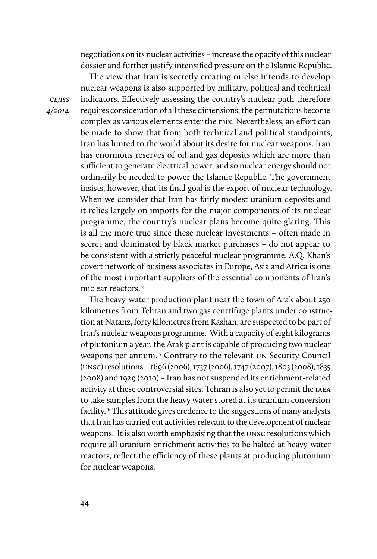negotiations on its nuclear activities – increase the opacity of this nuclear dossier and further justify intensified pressure on the Islamic Republic.

The view that Iran is secretly creating or else intends to develop nuclear weapons is also supported by military, political and technical indicators. Effectively assessing the country's nuclear path therefore requires consideration of all these dimensions; the permutations become complex as various elements enter the mix. Nevertheless, an effort can be made to show that from both technical and political standpoints, Iran has hinted to the world about its desire for nuclear weapons. Iran has enormous reserves of oil and gas deposits which are more than sufficient to generate electrical power, and so nuclear energy should not ordinarily be needed to power the Islamic Republic. The government insists, however, that its final goal is the export of nuclear technology. When we consider that Iran has fairly modest uranium deposits and it relies largely on imports for the major components of its nuclear programme, the country's nuclear plans become quite glaring. This is all the more true since these nuclear investments – often made in secret and dominated by black market purchases – do not appear to be consistent with a strictly peaceful nuclear programme. A.Q. Khan's covert network of business associates in Europe, Asia and Africa is one of the most important suppliers of the essential components of Iran's nuclear reactors.14

The heavy-water production plant near the town of Arak about 250 kilometres from Tehran and two gas centrifuge plants under construction at Natanz, forty kilometres from Kashan, are suspected to be part of Iran's nuclear weapons programme. With a capacity of eight kilograms of plutonium a year, the Arak plant is capable of producing two nuclear weapons per annum.<sup>15</sup> Contrary to the relevant UN Security Council (unsc) resolutions – 1696 (2006), 1737 (2006), 1747 (2007), 1803 (2008), 1835 (2008) and 1929 (2010) – Iran has not suspended its enrichment-related activity at these controversial sites. Tehran is also yet to permit the iaea to take samples from the heavy water stored at its uranium conversion facility.16 This attitude gives credence to the suggestions of many analysts that Iran has carried out activities relevant to the development of nuclear weapons. It is also worth emphasising that the unsc resolutions which require all uranium enrichment activities to be halted at heavy-water reactors, reflect the efficiency of these plants at producing plutonium for nuclear weapons.

cejiss 4/2014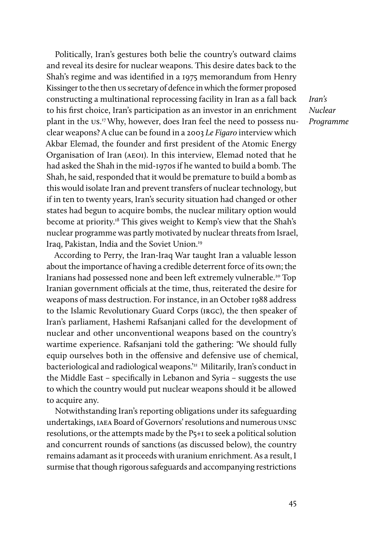Politically, Iran's gestures both belie the country's outward claims and reveal its desire for nuclear weapons. This desire dates back to the Shah's regime and was identified in a 1975 memorandum from Henry Kissinger to the then us secretary of defence in which the former proposed constructing a multinational reprocessing facility in Iran as a fall back to his first choice, Iran's participation as an investor in an enrichment plant in the us. 17 Why, however, does Iran feel the need to possess nuclear weapons? A clue can be found in a 2003 Le Figaro interview which Akbar Elemad, the founder and first president of the Atomic Energy Organisation of Iran (aeoi). In this interview, Elemad noted that he had asked the Shah in the mid-1970s if he wanted to build a bomb. The Shah, he said, responded that it would be premature to build a bomb as this would isolate Iran and prevent transfers of nuclear technology, but if in ten to twenty years, Iran's security situation had changed or other states had begun to acquire bombs, the nuclear military option would become at priority.18 This gives weight to Kemp's view that the Shah's nuclear programme was partly motivated by nuclear threats from Israel, Iraq, Pakistan, India and the Soviet Union.19

According to Perry, the Iran-Iraq War taught Iran a valuable lesson about the importance of having a credible deterrent force of its own; the Iranians had possessed none and been left extremely vulnerable.<sup>20</sup> Top Iranian government officials at the time, thus, reiterated the desire for weapons of mass destruction. For instance, in an October 1988 address to the Islamic Revolutionary Guard Corps (irgc), the then speaker of Iran's parliament, Hashemi Rafsanjani called for the development of nuclear and other unconventional weapons based on the country's wartime experience. Rafsanjani told the gathering: 'We should fully equip ourselves both in the offensive and defensive use of chemical, bacteriological and radiological weapons.'<sup>21</sup> Militarily, Iran's conduct in the Middle East – specifically in Lebanon and Syria – suggests the use to which the country would put nuclear weapons should it be allowed to acquire any.

Notwithstanding Iran's reporting obligations under its safeguarding undertakings, iaea Board of Governors' resolutions and numerous unsc resolutions, or the attempts made by the P5+1 to seek a political solution and concurrent rounds of sanctions (as discussed below), the country remains adamant as it proceeds with uranium enrichment. As a result, I surmise that though rigorous safeguards and accompanying restrictions

Iran's Nuclear Programme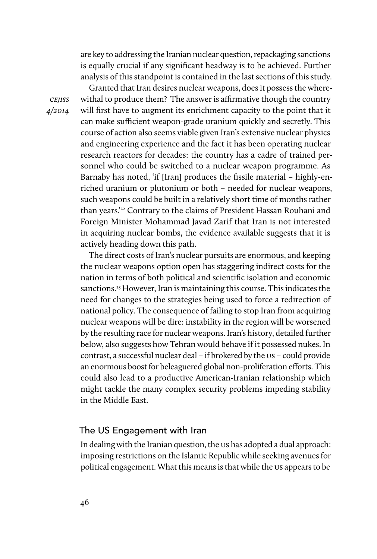are key to addressing the Iranian nuclear question, repackaging sanctions is equally crucial if any significant headway is to be achieved. Further analysis of this standpoint is contained in the last sections of this study.

Granted that Iran desires nuclear weapons, does it possess the where-

withal to produce them? The answer is affirmative though the country will first have to augment its enrichment capacity to the point that it can make sufficient weapon-grade uranium quickly and secretly. This course of action also seems viable given Iran's extensive nuclear physics and engineering experience and the fact it has been operating nuclear research reactors for decades: the country has a cadre of trained personnel who could be switched to a nuclear weapon programme. As Barnaby has noted, 'if [Iran] produces the fissile material – highly-enriched uranium or plutonium or both – needed for nuclear weapons, such weapons could be built in a relatively short time of months rather than years.'22 Contrary to the claims of President Hassan Rouhani and Foreign Minister Mohammad Javad Zarif that Iran is not interested in acquiring nuclear bombs, the evidence available suggests that it is actively heading down this path.

The direct costs of Iran's nuclear pursuits are enormous, and keeping the nuclear weapons option open has staggering indirect costs for the nation in terms of both political and scientific isolation and economic sanctions.<sup>23</sup> However, Iran is maintaining this course. This indicates the need for changes to the strategies being used to force a redirection of national policy. The consequence of failing to stop Iran from acquiring nuclear weapons will be dire: instability in the region will be worsened by the resulting race for nuclear weapons. Iran's history, detailed further below, also suggests how Tehran would behave if it possessed nukes. In contrast, a successful nuclear deal – if brokered by the us – could provide an enormous boost for beleaguered global non-proliferation efforts. This could also lead to a productive American-Iranian relationship which might tackle the many complex security problems impeding stability in the Middle East.

#### The US Engagement with Iran

In dealing with the Iranian question, the us has adopted a dual approach: imposing restrictions on the Islamic Republic while seeking avenues for political engagement. What this means is that while the us appears to be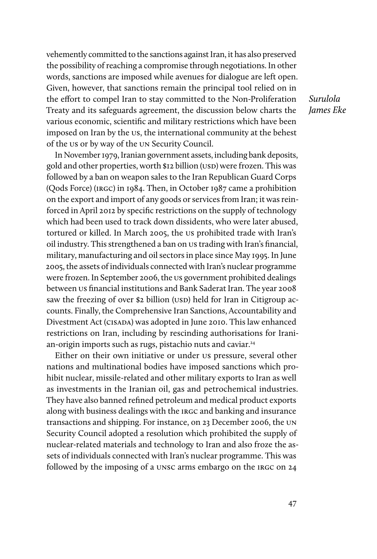vehemently committed to the sanctions against Iran, it has also preserved the possibility of reaching a compromise through negotiations. In other words, sanctions are imposed while avenues for dialogue are left open. Given, however, that sanctions remain the principal tool relied on in the effort to compel Iran to stay committed to the Non-Proliferation Treaty and its safeguards agreement, the discussion below charts the various economic, scientific and military restrictions which have been imposed on Iran by the us, the international community at the behest of the us or by way of the un Security Council.

Surulola James Eke

In November 1979, Iranian government assets, including bank deposits, gold and other properties, worth \$12 billion (USD) were frozen. This was followed by a ban on weapon sales to the Iran Republican Guard Corps (Qods Force) (irgc) in 1984. Then, in October 1987 came a prohibition on the export and import of any goods or services from Iran; it was reinforced in April 2012 by specific restrictions on the supply of technology which had been used to track down dissidents, who were later abused, tortured or killed. In March 2005, the us prohibited trade with Iran's oil industry. This strengthened a ban on us trading with Iran's financial, military, manufacturing and oil sectors in place since May 1995. In June 2005, the assets of individuals connected with Iran's nuclear programme were frozen. In September 2006, the us government prohibited dealings between us financial institutions and Bank Saderat Iran. The year 2008 saw the freezing of over \$2 billion (USD) held for Iran in Citigroup accounts. Finally, the Comprehensive Iran Sanctions, Accountability and Divestment Act (CISADA) was adopted in June 2010. This law enhanced restrictions on Iran, including by rescinding authorisations for Iranian-origin imports such as rugs, pistachio nuts and caviar.<sup>24</sup>

Either on their own initiative or under us pressure, several other nations and multinational bodies have imposed sanctions which prohibit nuclear, missile-related and other military exports to Iran as well as investments in the Iranian oil, gas and petrochemical industries. They have also banned refined petroleum and medical product exports along with business dealings with the irgc and banking and insurance transactions and shipping. For instance, on 23 December 2006, the un Security Council adopted a resolution which prohibited the supply of nuclear-related materials and technology to Iran and also froze the assets of individuals connected with Iran's nuclear programme. This was followed by the imposing of a unsc arms embargo on the IRGC on 24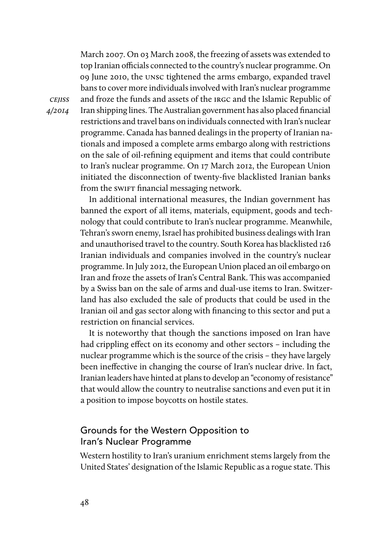March 2007. On 03 March 2008, the freezing of assets was extended to top Iranian officials connected to the country's nuclear programme. On 09 June 2010, the unsc tightened the arms embargo, expanded travel bans to cover more individuals involved with Iran's nuclear programme and froze the funds and assets of the irgc and the Islamic Republic of Iran shipping lines. The Australian government has also placed financial restrictions and travel bans on individuals connected with Iran's nuclear programme. Canada has banned dealings in the property of Iranian nationals and imposed a complete arms embargo along with restrictions on the sale of oil-refining equipment and items that could contribute to Iran's nuclear programme. On 17 March 2012, the European Union initiated the disconnection of twenty-five blacklisted Iranian banks from the swift financial messaging network.

In additional international measures, the Indian government has banned the export of all items, materials, equipment, goods and technology that could contribute to Iran's nuclear programme. Meanwhile, Tehran's sworn enemy, Israel has prohibited business dealings with Iran and unauthorised travel to the country. South Korea has blacklisted 126 Iranian individuals and companies involved in the country's nuclear programme. In July 2012, the European Union placed an oil embargo on Iran and froze the assets of Iran's Central Bank. This was accompanied by a Swiss ban on the sale of arms and dual-use items to Iran. Switzerland has also excluded the sale of products that could be used in the Iranian oil and gas sector along with financing to this sector and put a restriction on financial services.

It is noteworthy that though the sanctions imposed on Iran have had crippling effect on its economy and other sectors – including the nuclear programme which is the source of the crisis – they have largely been ineffective in changing the course of Iran's nuclear drive. In fact, Iranian leaders have hinted at plans to develop an "economy of resistance" that would allow the country to neutralise sanctions and even put it in a position to impose boycotts on hostile states.

# Grounds for the Western Opposition to Iran's Nuclear Programme

Western hostility to Iran's uranium enrichment stems largely from the United States' designation of the Islamic Republic as a rogue state. This

cejiss 4/2014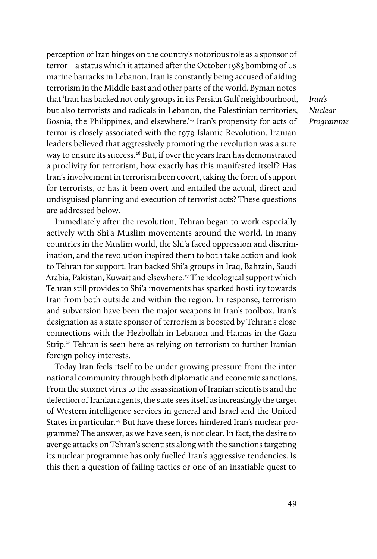perception of Iran hinges on the country's notorious role as a sponsor of terror – a status which it attained after the October 1983 bombing of us marine barracks in Lebanon. Iran is constantly being accused of aiding terrorism in the Middle East and other parts of the world. Byman notes that 'Iran has backed not only groups in its Persian Gulf neighbourhood, but also terrorists and radicals in Lebanon, the Palestinian territories, Bosnia, the Philippines, and elsewhere.'<sup>25</sup> Iran's propensity for acts of terror is closely associated with the 1979 Islamic Revolution. Iranian leaders believed that aggressively promoting the revolution was a sure way to ensure its success.<sup>26</sup> But, if over the years Iran has demonstrated a proclivity for terrorism, how exactly has this manifested itself? Has Iran's involvement in terrorism been covert, taking the form of support for terrorists, or has it been overt and entailed the actual, direct and undisguised planning and execution of terrorist acts? These questions are addressed below.

Immediately after the revolution, Tehran began to work especially actively with Shi'a Muslim movements around the world. In many countries in the Muslim world, the Shi'a faced oppression and discrimination, and the revolution inspired them to both take action and look to Tehran for support. Iran backed Shi'a groups in Iraq, Bahrain, Saudi Arabia, Pakistan, Kuwait and elsewhere.<sup>27</sup> The ideological support which Tehran still provides to Shi'a movements has sparked hostility towards Iran from both outside and within the region. In response, terrorism and subversion have been the major weapons in Iran's toolbox. Iran's designation as a state sponsor of terrorism is boosted by Tehran's close connections with the Hezbollah in Lebanon and Hamas in the Gaza Strip.<sup>28</sup> Tehran is seen here as relying on terrorism to further Iranian foreign policy interests.

Today Iran feels itself to be under growing pressure from the international community through both diplomatic and economic sanctions. From the stuxnet virus to the assassination of Iranian scientists and the defection of Iranian agents, the state sees itself as increasingly the target of Western intelligence services in general and Israel and the United States in particular.<sup>29</sup> But have these forces hindered Iran's nuclear programme? The answer, as we have seen, is not clear. In fact, the desire to avenge attacks on Tehran's scientists along with the sanctions targeting its nuclear programme has only fuelled Iran's aggressive tendencies. Is this then a question of failing tactics or one of an insatiable quest to

Iran's Nuclear Programme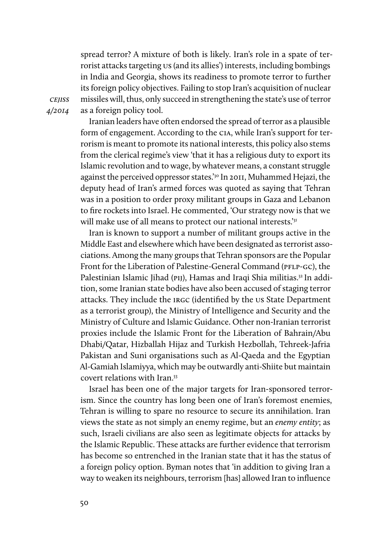spread terror? A mixture of both is likely. Iran's role in a spate of terrorist attacks targeting us (and its allies') interests, including bombings in India and Georgia, shows its readiness to promote terror to further its foreign policy objectives. Failing to stop Iran's acquisition of nuclear missiles will, thus, only succeed in strengthening the state's use of terror as a foreign policy tool.

**CEJISS** 4/2014

> Iranian leaders have often endorsed the spread of terror as a plausible form of engagement. According to the cia, while Iran's support for terrorism is meant to promote its national interests, this policy also stems from the clerical regime's view 'that it has a religious duty to export its Islamic revolution and to wage, by whatever means, a constant struggle against the perceived oppressor states.'30 In 2011, Muhammed Hejazi, the deputy head of Iran's armed forces was quoted as saying that Tehran was in a position to order proxy militant groups in Gaza and Lebanon to fire rockets into Israel. He commented, 'Our strategy now is that we will make use of all means to protect our national interests.'<sup>31</sup>

> Iran is known to support a number of militant groups active in the Middle East and elsewhere which have been designated as terrorist associations. Among the many groups that Tehran sponsors are the Popular Front for the Liberation of Palestine-General Command (PFLP-GC), the Palestinian Islamic Jihad (PIJ), Hamas and Iraqi Shia militias.<sup>32</sup> In addition, some Iranian state bodies have also been accused of staging terror attacks. They include the irgc (identified by the us State Department as a terrorist group), the Ministry of Intelligence and Security and the Ministry of Culture and Islamic Guidance. Other non-Iranian terrorist proxies include the Islamic Front for the Liberation of Bahrain/Abu Dhabi/Qatar, Hizballah Hijaz and Turkish Hezbollah, Tehreek-Jafria Pakistan and Suni organisations such as Al-Qaeda and the Egyptian Al-Gamiah Islamiyya, which may be outwardly anti-Shiite but maintain covert relations with Iran.<sup>33</sup>

> Israel has been one of the major targets for Iran-sponsored terrorism. Since the country has long been one of Iran's foremost enemies, Tehran is willing to spare no resource to secure its annihilation. Iran views the state as not simply an enemy regime, but an enemy entity; as such, Israeli civilians are also seen as legitimate objects for attacks by the Islamic Republic. These attacks are further evidence that terrorism has become so entrenched in the Iranian state that it has the status of a foreign policy option. Byman notes that 'in addition to giving Iran a way to weaken its neighbours, terrorism [has] allowed Iran to influence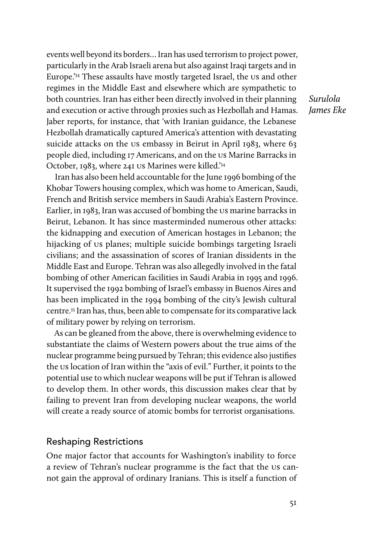events well beyond its borders… Iran has used terrorism to project power, particularly in the Arab Israeli arena but also against Iraqi targets and in Europe.'34 These assaults have mostly targeted Israel, the us and other regimes in the Middle East and elsewhere which are sympathetic to both countries. Iran has either been directly involved in their planning and execution or active through proxies such as Hezbollah and Hamas. Jaber reports, for instance, that 'with Iranian guidance, the Lebanese Hezbollah dramatically captured America's attention with devastating suicide attacks on the us embassy in Beirut in April 1983, where 63 people died, including 17 Americans, and on the us Marine Barracks in October, 1983, where 241 us Marines were killed.'34

Iran has also been held accountable for the June 1996 bombing of the Khobar Towers housing complex, which was home to American, Saudi, French and British service members in Saudi Arabia's Eastern Province. Earlier, in 1983, Iran was accused of bombing the us marine barracks in Beirut, Lebanon. It has since masterminded numerous other attacks: the kidnapping and execution of American hostages in Lebanon; the hijacking of us planes; multiple suicide bombings targeting Israeli civilians; and the assassination of scores of Iranian dissidents in the Middle East and Europe. Tehran was also allegedly involved in the fatal bombing of other American facilities in Saudi Arabia in 1995 and 1996. It supervised the 1992 bombing of Israel's embassy in Buenos Aires and has been implicated in the 1994 bombing of the city's Jewish cultural centre.35 Iran has, thus, been able to compensate for its comparative lack of military power by relying on terrorism.

As can be gleaned from the above, there is overwhelming evidence to substantiate the claims of Western powers about the true aims of the nuclear programme being pursued by Tehran; this evidence also justifies the us location of Iran within the "axis of evil." Further, it points to the potential use to which nuclear weapons will be put if Tehran is allowed to develop them. In other words, this discussion makes clear that by failing to prevent Iran from developing nuclear weapons, the world will create a ready source of atomic bombs for terrorist organisations.

#### Reshaping Restrictions

One major factor that accounts for Washington's inability to force a review of Tehran's nuclear programme is the fact that the us cannot gain the approval of ordinary Iranians. This is itself a function of

Surulola James Eke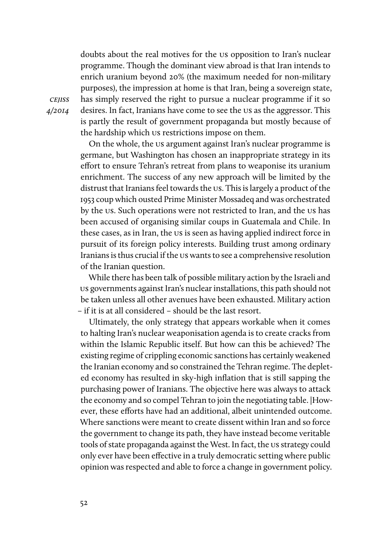doubts about the real motives for the us opposition to Iran's nuclear programme. Though the dominant view abroad is that Iran intends to enrich uranium beyond 20% (the maximum needed for non-military purposes), the impression at home is that Iran, being a sovereign state, has simply reserved the right to pursue a nuclear programme if it so desires. In fact, Iranians have come to see the us as the aggressor. This is partly the result of government propaganda but mostly because of the hardship which us restrictions impose on them.

On the whole, the us argument against Iran's nuclear programme is germane, but Washington has chosen an inappropriate strategy in its effort to ensure Tehran's retreat from plans to weaponise its uranium enrichment. The success of any new approach will be limited by the distrust that Iranians feel towards the us. This is largely a product of the 1953 coup which ousted Prime Minister Mossadeq and was orchestrated by the us. Such operations were not restricted to Iran, and the us has been accused of organising similar coups in Guatemala and Chile. In these cases, as in Iran, the us is seen as having applied indirect force in pursuit of its foreign policy interests. Building trust among ordinary Iranians is thus crucial if the us wants to see a comprehensive resolution of the Iranian question.

While there has been talk of possible military action by the Israeli and us governments against Iran's nuclear installations, this path should not be taken unless all other avenues have been exhausted. Military action – if it is at all considered – should be the last resort.

Ultimately, the only strategy that appears workable when it comes to halting Iran's nuclear weaponisation agenda is to create cracks from within the Islamic Republic itself. But how can this be achieved? The existing regime of crippling economic sanctions has certainly weakened the Iranian economy and so constrained the Tehran regime. The depleted economy has resulted in sky-high inflation that is still sapping the purchasing power of Iranians. The objective here was always to attack the economy and so compel Tehran to join the negotiating table. |However, these efforts have had an additional, albeit unintended outcome. Where sanctions were meant to create dissent within Iran and so force the government to change its path, they have instead become veritable tools of state propaganda against the West. In fact, the us strategy could only ever have been effective in a truly democratic setting where public opinion was respected and able to force a change in government policy.

**CEJISS** 4/2014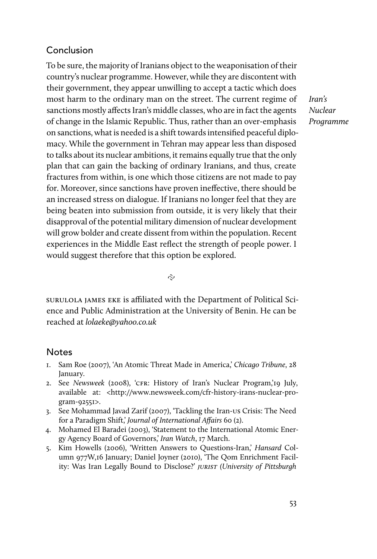# Conclusion

To be sure, the majority of Iranians object to the weaponisation of their country's nuclear programme. However, while they are discontent with their government, they appear unwilling to accept a tactic which does most harm to the ordinary man on the street. The current regime of sanctions mostly affects Iran's middle classes, who are in fact the agents of change in the Islamic Republic. Thus, rather than an over-emphasis on sanctions, what is needed is a shift towards intensified peaceful diplomacy. While the government in Tehran may appear less than disposed to talks about its nuclear ambitions, it remains equally true that the only plan that can gain the backing of ordinary Iranians, and thus, create fractures from within, is one which those citizens are not made to pay for. Moreover, since sanctions have proven ineffective, there should be an increased stress on dialogue. If Iranians no longer feel that they are being beaten into submission from outside, it is very likely that their disapproval of the potential military dimension of nuclear development will grow bolder and create dissent from within the population. Recent experiences in the Middle East reflect the strength of people power. I would suggest therefore that this option be explored.

Iran's Nuclear Programme

 $\tilde{\sim}$ 

surulola james eke is afliated with the Department of Political Science and Public Administration at the University of Benin. He can be reached at lolaeke@yahoo.co.uk

#### **Notes**

- 1. Sam Roe (2007), 'An Atomic Threat Made in America,' Chicago Tribune, 28 January.
- 2. See Newsweek (2008), 'cfr: History of Iran's Nuclear Program,'19 July, available at: <http://www.newsweek.com/cfr-history-irans-nuclear-program-92551>.
- 3. See Mohammad Javad Zarif (2007), 'Tackling the Iran-us Crisis: The Need for a Paradigm Shift,' Journal of International Affairs 60 (2).
- 4. Mohamed El Baradei (2003), 'Statement to the International Atomic Energy Agency Board of Governors,' Iran Watch, 17 March.
- 5. Kim Howells (2006), 'Written Answers to Questions-Iran,' Hansard Column 977W,16 January; Daniel Joyner (2010), 'The Qom Enrichment Facility: Was Iran Legally Bound to Disclose?' JURIST (University of Pittsburgh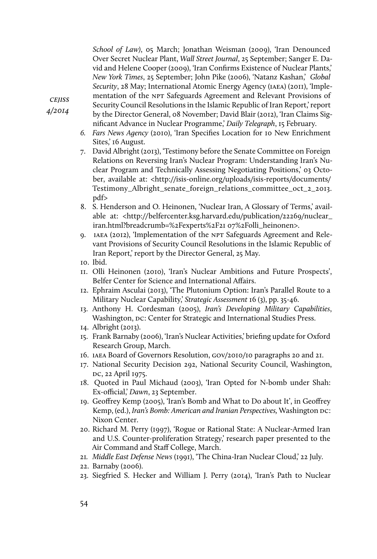School of Law), 05 March; Jonathan Weisman (2009), 'Iran Denounced Over Secret Nuclear Plant, Wall Street Journal, 25 September; Sanger E. David and Helene Cooper (2009), 'Iran Confirms Existence of Nuclear Plants,' New York Times, 25 September; John Pike (2006), 'Natanz Kashan,' Global Security, 28 May; International Atomic Energy Agency (IAEA) (2011), 'Implementation of the NPT Safeguards Agreement and Relevant Provisions of

**CEJISS** 4/2014

- Security Council Resolutions in the Islamic Republic of Iran Report,' report by the Director General, 08 November; David Blair (2012), 'Iran Claims Significant Advance in Nuclear Programme,' Daily Telegraph, 15 February.
- 6. Fars News Agency (2010), 'Iran Specifies Location for 10 New Enrichment Sites,' 16 August.
- 7. David Albright (2013), 'Testimony before the Senate Committee on Foreign Relations on Reversing Iran's Nuclear Program: Understanding Iran's Nuclear Program and Technically Assessing Negotiating Positions,' 03 October, available at: <http://isis-online.org/uploads/isis-reports/documents/ Testimony\_Albright\_senate\_foreign\_relations\_committee\_oct\_2\_2013. pdf>
- 8. S. Henderson and O. Heinonen, 'Nuclear Iran, A Glossary of Terms,' available at: <http://belfercenter.ksg.harvard.edu/publication/22269/nuclear\_ iran.html?breadcrumb=%2Fexperts%2F21 07%2Folli\_heinonen>.
- 9. IAEA (2012), 'Implementation of the NPT Safeguards Agreement and Relevant Provisions of Security Council Resolutions in the Islamic Republic of Iran Report,' report by the Director General, 25 May.
- 10. Ibid.
- 11. Olli Heinonen (2010), 'Iran's Nuclear Ambitions and Future Prospects', Belfer Center for Science and International Affairs.
- 12. Ephraim Asculai (2013), 'The Plutonium Option: Iran's Parallel Route to a Military Nuclear Capability,' Strategic Assessment 16 (3), pp. 35-46.
- 13. Anthony H. Cordesman (2005), Iran's Developing Military Capabilities, Washington, DC: Center for Strategic and International Studies Press.
- 14. Albright (2013).
- 15. Frank Barnaby (2006), 'Iran's Nuclear Activities,' briefing update for Oxford Research Group, March.
- 16. iaea Board of Governors Resolution, gov/2010/10 paragraphs 20 and 21.
- 17. National Security Decision 292, National Security Council, Washington, DC, 22 April 1975.
- 18. Quoted in Paul Michaud (2003), 'Iran Opted for N-bomb under Shah: Ex-official,' Dawn, 23 September.
- 19. Geoffrey Kemp (2005), 'Iran's Bomb and What to Do about It', in Geoffrey Kemp, (ed.), Iran's Bomb: American and Iranian Perspectives, Washington DC: Nixon Center.
- 20. Richard M. Perry (1997), 'Rogue or Rational State: A Nuclear-Armed Iran and U.S. Counter-proliferation Strategy,' research paper presented to the Air Command and Staff College, March.
- 21. Middle East Defense News (1991), 'The China-Iran Nuclear Cloud,' 22 July.
- 22. Barnaby (2006).
- 23. Siegfried S. Hecker and William J. Perry (2014), 'Iran's Path to Nuclear